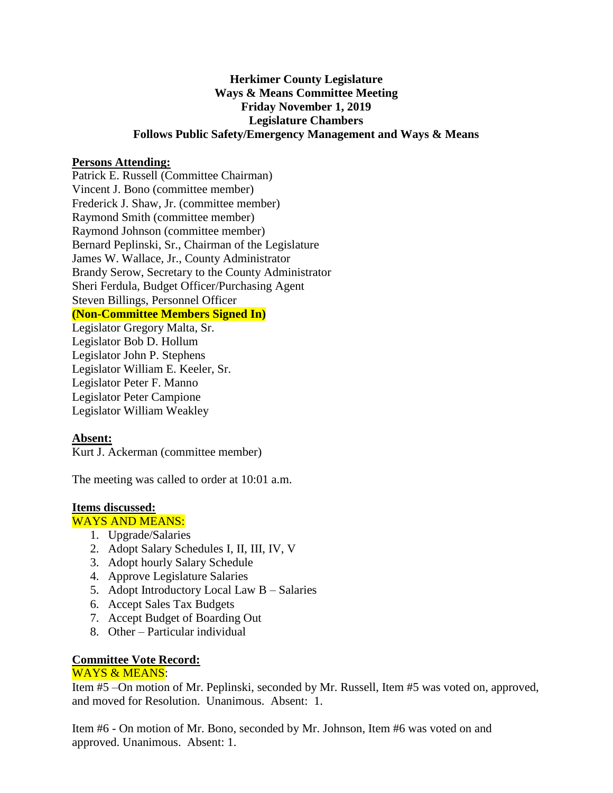# **Herkimer County Legislature Ways & Means Committee Meeting Friday November 1, 2019 Legislature Chambers Follows Public Safety/Emergency Management and Ways & Means**

## **Persons Attending:**

Patrick E. Russell (Committee Chairman) Vincent J. Bono (committee member) Frederick J. Shaw, Jr. (committee member) Raymond Smith (committee member) Raymond Johnson (committee member) Bernard Peplinski, Sr., Chairman of the Legislature James W. Wallace, Jr., County Administrator Brandy Serow, Secretary to the County Administrator Sheri Ferdula, Budget Officer/Purchasing Agent Steven Billings, Personnel Officer **(Non-Committee Members Signed In)**

Legislator Gregory Malta, Sr. Legislator Bob D. Hollum Legislator John P. Stephens Legislator William E. Keeler, Sr. Legislator Peter F. Manno Legislator Peter Campione Legislator William Weakley

## **Absent:**

Kurt J. Ackerman (committee member)

The meeting was called to order at 10:01 a.m.

## **Items discussed:**

## WAYS AND MEANS:

- 1. Upgrade/Salaries
- 2. Adopt Salary Schedules I, II, III, IV, V
- 3. Adopt hourly Salary Schedule
- 4. Approve Legislature Salaries
- 5. Adopt Introductory Local Law B Salaries
- 6. Accept Sales Tax Budgets
- 7. Accept Budget of Boarding Out
- 8. Other Particular individual

### **Committee Vote Record:**  WAYS & MEANS:

Item #5 –On motion of Mr. Peplinski, seconded by Mr. Russell, Item #5 was voted on, approved, and moved for Resolution. Unanimous. Absent: 1.

Item #6 - On motion of Mr. Bono, seconded by Mr. Johnson, Item #6 was voted on and approved. Unanimous. Absent: 1.